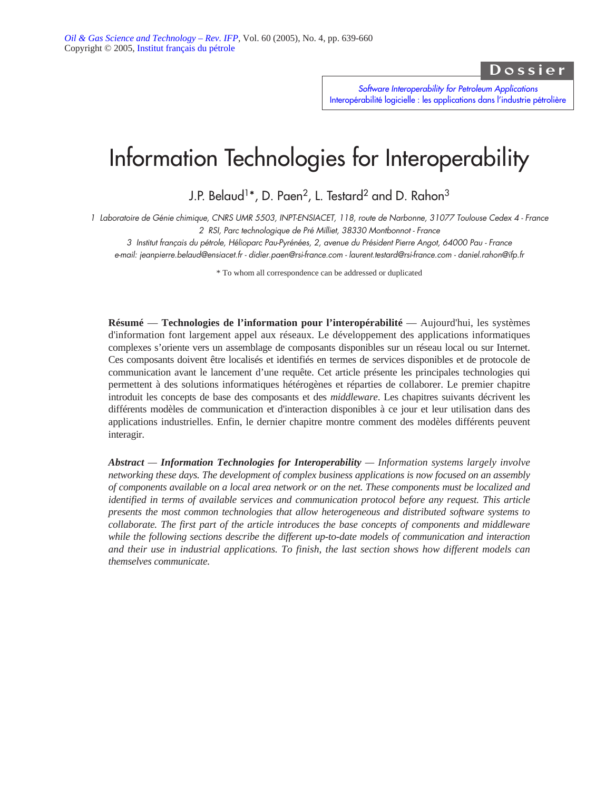Dossier

*Software Interoperability for Petroleum Applications* [Interopérabilité logicielle : les applications dans l'industrie pétrolière](http://ogst.ifp.fr/index.php?option=toc&url=/articles/ogst/abs/2005/04/contents/contents.html)

# Information Technologies for Interoperability

J.P. Belaud<sup>1\*</sup>, D. Paen<sup>2</sup>, L. Testard<sup>2</sup> and D. Rahon<sup>3</sup>

*1 Laboratoire de Génie chimique, CNRS UMR 5503, INPT-ENSIACET, 118, route de Narbonne, 31077 Toulouse Cedex 4 - France 2 RSI, Parc technologique de Pré Milliet, 38330 Montbonnot - France*

*3 Institut français du pétrole, Hélioparc Pau-Pyrénées, 2, avenue du Président Pierre Angot, 64000 Pau - France e-mail: jeanpierre.belaud@ensiacet.fr - didier.paen@rsi-france.com - laurent.testard@rsi-france.com - daniel.rahon@ifp.fr*

\* To whom all correspondence can be addressed or duplicated

**Résumé** — **Technologies de l'information pour l'interopérabilité** — Aujourd'hui, les systèmes d'information font largement appel aux réseaux. Le développement des applications informatiques complexes s'oriente vers un assemblage de composants disponibles sur un réseau local ou sur Internet. Ces composants doivent être localisés et identifiés en termes de services disponibles et de protocole de communication avant le lancement d'une requête. Cet article présente les principales technologies qui permettent à des solutions informatiques hétérogènes et réparties de collaborer. Le premier chapitre introduit les concepts de base des composants et des *middleware*. Les chapitres suivants décrivent les différents modèles de communication et d'interaction disponibles à ce jour et leur utilisation dans des applications industrielles. Enfin, le dernier chapitre montre comment des modèles différents peuvent interagir.

*Abstract — Information Technologies for Interoperability — Information systems largely involve networking these days. The development of complex business applications is now focused on an assembly of components available on a local area network or on the net. These components must be localized and identified in terms of available services and communication protocol before any request. This article presents the most common technologies that allow heterogeneous and distributed software systems to collaborate. The first part of the article introduces the base concepts of components and middleware while the following sections describe the different up-to-date models of communication and interaction and their use in industrial applications. To finish, the last section shows how different models can themselves communicate.*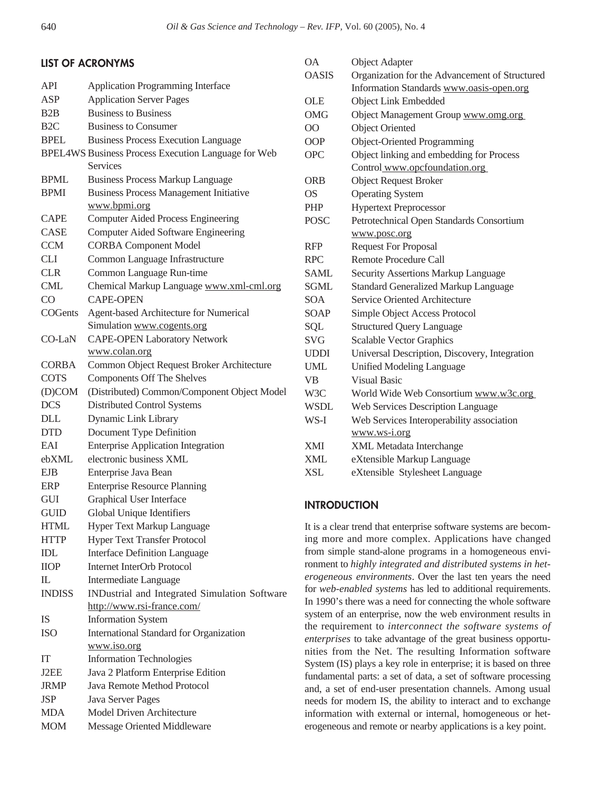MDA Model Driven Architecture MOM Message Oriented Middleware

| <b>LIST OF ACRONYMS</b> |                                                        | <b>OA</b>                                                                                                                                                                                                                                                                                                   | <b>Object Adapter</b>                                           |
|-------------------------|--------------------------------------------------------|-------------------------------------------------------------------------------------------------------------------------------------------------------------------------------------------------------------------------------------------------------------------------------------------------------------|-----------------------------------------------------------------|
|                         |                                                        | <b>OASIS</b>                                                                                                                                                                                                                                                                                                | Organization for the Advancement of Structured                  |
| <b>API</b>              | Application Programming Interface                      |                                                                                                                                                                                                                                                                                                             | Information Standards www.oasis-open.org                        |
| <b>ASP</b>              | <b>Application Server Pages</b>                        | <b>OLE</b>                                                                                                                                                                                                                                                                                                  | Object Link Embedded                                            |
| B <sub>2</sub> B        | <b>Business to Business</b>                            | <b>OMG</b>                                                                                                                                                                                                                                                                                                  | Object Management Group www.omg.org                             |
| B <sub>2</sub> C        | <b>Business to Consumer</b>                            | $\overline{O}O$                                                                                                                                                                                                                                                                                             | <b>Object Oriented</b>                                          |
| <b>BPEL</b>             | <b>Business Process Execution Language</b>             | OOP                                                                                                                                                                                                                                                                                                         | Object-Oriented Programming                                     |
|                         | BPEL4WS Business Process Execution Language for Web    | <b>OPC</b>                                                                                                                                                                                                                                                                                                  | Object linking and embedding for Process                        |
|                         | Services                                               |                                                                                                                                                                                                                                                                                                             | Control www.opcfoundation.org                                   |
| <b>BPML</b>             | <b>Business Process Markup Language</b>                | <b>ORB</b>                                                                                                                                                                                                                                                                                                  | <b>Object Request Broker</b>                                    |
| <b>BPMI</b>             | <b>Business Process Management Initiative</b>          | <b>OS</b>                                                                                                                                                                                                                                                                                                   | <b>Operating System</b>                                         |
|                         | www.bpmi.org                                           | PHP                                                                                                                                                                                                                                                                                                         | <b>Hypertext Preprocessor</b>                                   |
| <b>CAPE</b>             | <b>Computer Aided Process Engineering</b>              | <b>POSC</b>                                                                                                                                                                                                                                                                                                 | Petrotechnical Open Standards Consortium                        |
| CASE                    | <b>Computer Aided Software Engineering</b>             |                                                                                                                                                                                                                                                                                                             | www.posc.org                                                    |
| <b>CCM</b>              | <b>CORBA Component Model</b>                           | <b>RFP</b>                                                                                                                                                                                                                                                                                                  | <b>Request For Proposal</b>                                     |
| <b>CLI</b>              | Common Language Infrastructure                         | <b>RPC</b>                                                                                                                                                                                                                                                                                                  | Remote Procedure Call                                           |
| <b>CLR</b>              | Common Language Run-time                               | <b>SAML</b>                                                                                                                                                                                                                                                                                                 | Security Assertions Markup Language                             |
| <b>CML</b>              | Chemical Markup Language www.xml-cml.org               | <b>SGML</b>                                                                                                                                                                                                                                                                                                 | <b>Standard Generalized Markup Language</b>                     |
| CO                      | <b>CAPE-OPEN</b>                                       | <b>SOA</b>                                                                                                                                                                                                                                                                                                  | Service Oriented Architecture                                   |
| COGents                 | Agent-based Architecture for Numerical                 | <b>SOAP</b>                                                                                                                                                                                                                                                                                                 | Simple Object Access Protocol                                   |
|                         | Simulation www.cogents.org                             | SQL                                                                                                                                                                                                                                                                                                         | <b>Structured Query Language</b>                                |
| CO-LaN                  | <b>CAPE-OPEN Laboratory Network</b>                    | <b>SVG</b>                                                                                                                                                                                                                                                                                                  | <b>Scalable Vector Graphics</b>                                 |
|                         | www.colan.org                                          | <b>UDDI</b>                                                                                                                                                                                                                                                                                                 | Universal Description, Discovery, Integration                   |
| <b>CORBA</b>            | Common Object Request Broker Architecture              | <b>UML</b>                                                                                                                                                                                                                                                                                                  | <b>Unified Modeling Language</b>                                |
| <b>COTS</b>             | <b>Components Off The Shelves</b>                      | <b>VB</b>                                                                                                                                                                                                                                                                                                   | <b>Visual Basic</b>                                             |
| (D)COM                  | (Distributed) Common/Component Object Model            | W3C                                                                                                                                                                                                                                                                                                         | World Wide Web Consortium www.w3c.org                           |
| <b>DCS</b>              | Distributed Control Systems                            | <b>WSDL</b>                                                                                                                                                                                                                                                                                                 | Web Services Description Language                               |
| <b>DLL</b>              | Dynamic Link Library                                   | WS-I                                                                                                                                                                                                                                                                                                        | Web Services Interoperability association                       |
| <b>DTD</b>              | Document Type Definition                               |                                                                                                                                                                                                                                                                                                             | www.ws-i.org                                                    |
| EAI                     | <b>Enterprise Application Integration</b>              | XMI                                                                                                                                                                                                                                                                                                         | XML Metadata Interchange                                        |
| ebXML                   | electronic business XML                                | XML                                                                                                                                                                                                                                                                                                         | eXtensible Markup Language                                      |
| <b>EJB</b>              | Enterprise Java Bean                                   | <b>XSL</b>                                                                                                                                                                                                                                                                                                  | eXtensible Stylesheet Language                                  |
| <b>ERP</b>              | <b>Enterprise Resource Planning</b>                    |                                                                                                                                                                                                                                                                                                             |                                                                 |
| <b>GUI</b>              | Graphical User Interface                               | <b>INTRODUCTION</b>                                                                                                                                                                                                                                                                                         |                                                                 |
| <b>GUID</b>             | Global Unique Identifiers                              |                                                                                                                                                                                                                                                                                                             |                                                                 |
| <b>HTML</b>             | Hyper Text Markup Language                             |                                                                                                                                                                                                                                                                                                             | It is a clear trend that enterprise software systems are becom- |
| <b>HTTP</b>             | Hyper Text Transfer Protocol                           | ing more and more complex. Applications have changed<br>from simple stand-alone programs in a homogeneous envi-<br>ronment to highly integrated and distributed systems in het-<br>erogeneous environments. Over the last ten years the need<br>for web-enabled systems has led to additional requirements. |                                                                 |
| IDL                     | <b>Interface Definition Language</b>                   |                                                                                                                                                                                                                                                                                                             |                                                                 |
| <b>IIOP</b>             | Internet InterOrb Protocol                             |                                                                                                                                                                                                                                                                                                             |                                                                 |
| $\mathbb L$             | Intermediate Language                                  |                                                                                                                                                                                                                                                                                                             |                                                                 |
| <b>INDISS</b>           | INDustrial and Integrated Simulation Software          |                                                                                                                                                                                                                                                                                                             |                                                                 |
|                         | http://www.rsi-france.com/                             |                                                                                                                                                                                                                                                                                                             | In 1990's there was a need for connecting the whole software    |
| IS                      | <b>Information System</b>                              | system of an enterprise, now the web environment results in                                                                                                                                                                                                                                                 |                                                                 |
| <b>ISO</b>              |                                                        | the requirement to interconnect the software systems of                                                                                                                                                                                                                                                     |                                                                 |
|                         | International Standard for Organization<br>www.iso.org |                                                                                                                                                                                                                                                                                                             | enterprises to take advantage of the great business opportu-    |
| IT                      | <b>Information Technologies</b>                        | nities from the Net. The resulting Information software                                                                                                                                                                                                                                                     |                                                                 |
| J2EE                    |                                                        | System (IS) plays a key role in enterprise; it is based on three                                                                                                                                                                                                                                            |                                                                 |
|                         | Java 2 Platform Enterprise Edition                     | fundamental parts: a set of data, a set of software processing                                                                                                                                                                                                                                              |                                                                 |
| <b>JRMP</b>             | Java Remote Method Protocol                            | and, a set of end-user presentation channels. Among usual                                                                                                                                                                                                                                                   |                                                                 |
| <b>JSP</b>              | Java Server Pages                                      | needs for modern IS, the ability to interact and to exchange                                                                                                                                                                                                                                                |                                                                 |

information with external or internal, homogeneous or heterogeneous and remote or nearby applications is a key point.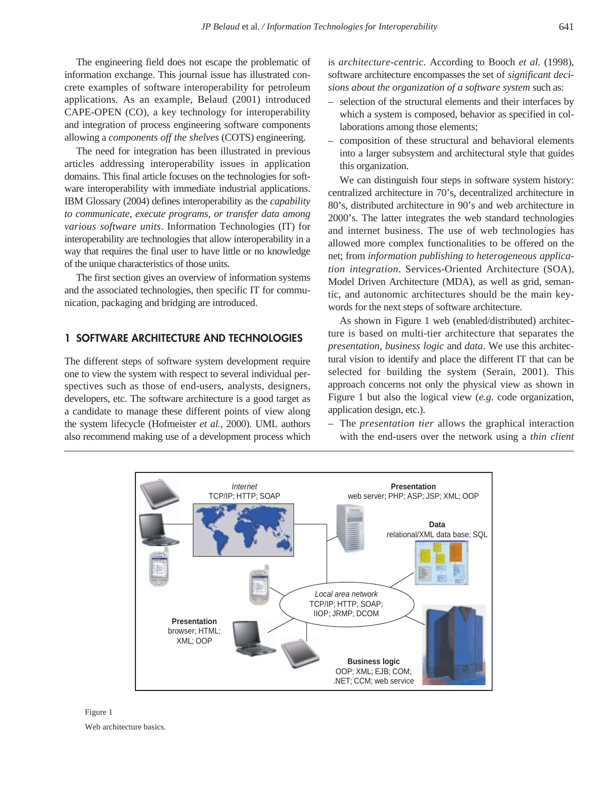The engineering field does not escape the problematic of information exchange. This journal issue has illustrated concrete examples of software interoperability for petroleum applications. As an example, Belaud (2001) introduced CAPE-OPEN (CO), a key technology for interoperability and integration of process engineering software components allowing a *components off the shelves* (COTS) engineering.

The need for integration has been illustrated in previous articles addressing interoperability issues in application domains. This final article focuses on the technologies for software interoperability with immediate industrial applications. IBM Glossary (2004) defines interoperability as the *capability to communicate, execute programs, or transfer data among various software units*. Information Technologies (IT) for interoperability are technologies that allow interoperability in a way that requires the final user to have little or no knowledge of the unique characteristics of those units.

The first section gives an overview of information systems and the associated technologies, then specific IT for communication, packaging and bridging are introduced.

# **1 SOFTWARE ARCHITECTURE AND TECHNOLOGIES**

The different steps of software system development require one to view the system with respect to several individual perspectives such as those of end-users, analysts, designers, developers, etc. The software architecture is a good target as a candidate to manage these different points of view along the system lifecycle (Hofmeister *et al.,* 2000). UML authors also recommend making use of a development process which is *architecture-centric.* According to Booch *et al.* (1998), software architecture encompasses the set of *significant decisions about the organization of a software system* such as:

- selection of the structural elements and their interfaces by which a system is composed, behavior as specified in collaborations among those elements;
- composition of these structural and behavioral elements into a larger subsystem and architectural style that guides this organization.

We can distinguish four steps in software system history: centralized architecture in 70's, decentralized architecture in 80's, distributed architecture in 90's and web architecture in 2000's. The latter integrates the web standard technologies and internet business. The use of web technologies has allowed more complex functionalities to be offered on the net; from *information publishing to heterogeneous application integration*. Services-Oriented Architecture (SOA), Model Driven Architecture (MDA), as well as grid, semantic, and autonomic architectures should be the main keywords for the next steps of software architecture.

As shown in Figure 1 web (enabled/distributed) architecture is based on multi-tier architecture that separates the *presentation, business logic* and *data*. We use this architectural vision to identify and place the different IT that can be selected for building the system (Serain, 2001). This approach concerns not only the physical view as shown in Figure 1 but also the logical view (*e.g*. code organization, application design, etc.).

– The *presentation tier* allows the graphical interaction with the end-users over the network using a *thin client*



Figure 1 Web architecture basics.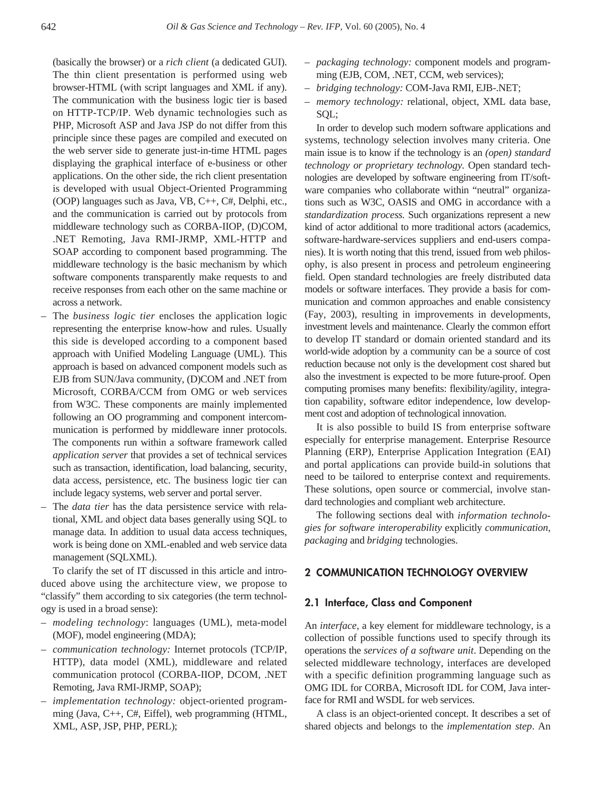(basically the browser) or a *rich client* (a dedicated GUI). The thin client presentation is performed using web browser-HTML (with script languages and XML if any). The communication with the business logic tier is based on HTTP-TCP/IP. Web dynamic technologies such as PHP, Microsoft ASP and Java JSP do not differ from this principle since these pages are compiled and executed on the web server side to generate just-in-time HTML pages displaying the graphical interface of e-business or other applications. On the other side, the rich client presentation is developed with usual Object-Oriented Programming (OOP) languages such as Java, VB, C++, C#, Delphi, etc., and the communication is carried out by protocols from middleware technology such as CORBA-IIOP, (D)COM, .NET Remoting, Java RMI-JRMP, XML-HTTP and SOAP according to component based programming. The middleware technology is the basic mechanism by which software components transparently make requests to and receive responses from each other on the same machine or across a network.

- The *business logic tier* encloses the application logic representing the enterprise know-how and rules. Usually this side is developed according to a component based approach with Unified Modeling Language (UML). This approach is based on advanced component models such as EJB from SUN/Java community, (D)COM and .NET from Microsoft, CORBA/CCM from OMG or web services from W3C. These components are mainly implemented following an OO programming and component intercommunication is performed by middleware inner protocols. The components run within a software framework called *application server* that provides a set of technical services such as transaction, identification, load balancing, security, data access, persistence, etc. The business logic tier can include legacy systems, web server and portal server.
- The *data tier* has the data persistence service with relational, XML and object data bases generally using SQL to manage data. In addition to usual data access techniques, work is being done on XML-enabled and web service data management (SQLXML).

To clarify the set of IT discussed in this article and introduced above using the architecture view, we propose to "classify" them according to six categories (the term technology is used in a broad sense):

- *modeling technology*: languages (UML), meta-model (MOF), model engineering (MDA);
- *communication technology:* Internet protocols (TCP/IP, HTTP), data model (XML), middleware and related communication protocol (CORBA-IIOP, DCOM, .NET Remoting, Java RMI-JRMP, SOAP);
- *implementation technology:* object-oriented programming (Java, C++, C#, Eiffel), web programming (HTML, XML, ASP, JSP, PHP, PERL);
- *– packaging technology:* component models and programming (EJB, COM, .NET, CCM, web services);
- *bridging technology:* COM-Java RMI, EJB-.NET;
- *memory technology:* relational, object, XML data base, SQL;

In order to develop such modern software applications and systems, technology selection involves many criteria. One main issue is to know if the technology is an *(open) standard technology or proprietary technology.* Open standard technologies are developed by software engineering from IT/software companies who collaborate within "neutral" organizations such as W3C, OASIS and OMG in accordance with a *standardization process.* Such organizations represent a new kind of actor additional to more traditional actors (academics, software-hardware-services suppliers and end-users companies). It is worth noting that this trend, issued from web philosophy, is also present in process and petroleum engineering field. Open standard technologies are freely distributed data models or software interfaces. They provide a basis for communication and common approaches and enable consistency (Fay, 2003), resulting in improvements in developments, investment levels and maintenance. Clearly the common effort to develop IT standard or domain oriented standard and its world-wide adoption by a community can be a source of cost reduction because not only is the development cost shared but also the investment is expected to be more future-proof. Open computing promises many benefits: flexibility/agility, integration capability, software editor independence, low development cost and adoption of technological innovation.

It is also possible to build IS from enterprise software especially for enterprise management. Enterprise Resource Planning (ERP), Enterprise Application Integration (EAI) and portal applications can provide build-in solutions that need to be tailored to enterprise context and requirements. These solutions, open source or commercial, involve standard technologies and compliant web architecture.

The following sections deal with *information technologies for software interoperability* explicitly *communication, packaging* and *bridging* technologies.

# **2 COMMUNICATION TECHNOLOGY OVERVIEW**

## **2.1 Interface, Class and Component**

An *interface*, a key element for middleware technology, is a collection of possible functions used to specify through its operations the *services of a software unit*. Depending on the selected middleware technology, interfaces are developed with a specific definition programming language such as OMG IDL for CORBA, Microsoft IDL for COM, Java interface for RMI and WSDL for web services.

A class is an object-oriented concept. It describes a set of shared objects and belongs to the *implementation step*. An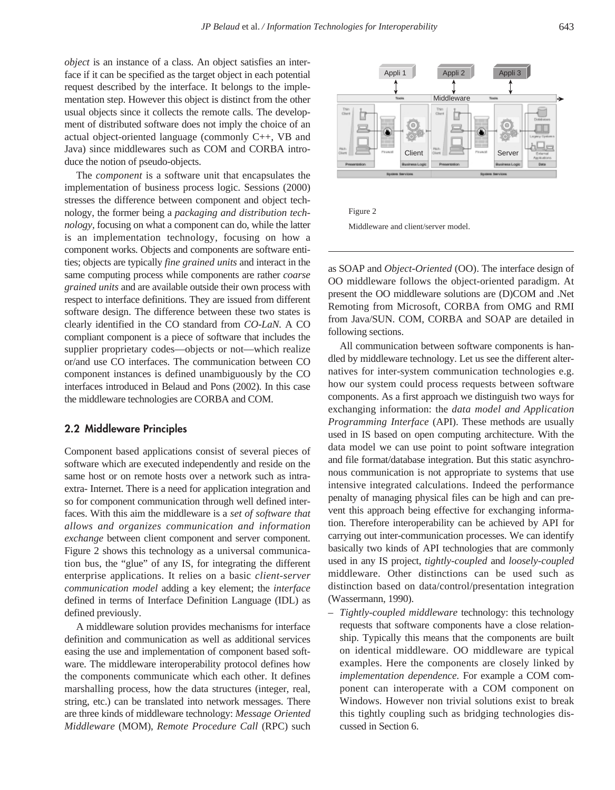*object* is an instance of a class. An object satisfies an interface if it can be specified as the target object in each potential request described by the interface. It belongs to the implementation step. However this object is distinct from the other usual objects since it collects the remote calls. The development of distributed software does not imply the choice of an actual object-oriented language (commonly C++, VB and Java) since middlewares such as COM and CORBA introduce the notion of pseudo-objects.

The *component* is a software unit that encapsulates the implementation of business process logic. Sessions (2000) stresses the difference between component and object technology, the former being a *packaging and distribution technology,* focusing on what a component can do, while the latter is an implementation technology, focusing on how a component works. Objects and components are software entities; objects are typically *fine grained units* and interact in the same computing process while components are rather *coarse grained units* and are available outside their own process with respect to interface definitions. They are issued from different software design. The difference between these two states is clearly identified in the CO standard from *CO-LaN.* A CO compliant component is a piece of software that includes the supplier proprietary codes—objects or not—which realize or/and use CO interfaces. The communication between CO component instances is defined unambiguously by the CO interfaces introduced in Belaud and Pons (2002). In this case the middleware technologies are CORBA and COM.

#### **2.2 Middleware Principles**

Component based applications consist of several pieces of software which are executed independently and reside on the same host or on remote hosts over a network such as intraextra- Internet. There is a need for application integration and so for component communication through well defined interfaces. With this aim the middleware is a *set of software that allows and organizes communication and information exchange* between client component and server component. Figure 2 shows this technology as a universal communication bus, the "glue" of any IS, for integrating the different enterprise applications. It relies on a basic *client-server communication model* adding a key element; the *interface* defined in terms of Interface Definition Language (IDL) as defined previously.

A middleware solution provides mechanisms for interface definition and communication as well as additional services easing the use and implementation of component based software. The middleware interoperability protocol defines how the components communicate which each other. It defines marshalling process, how the data structures (integer, real, string, etc.) can be translated into network messages. There are three kinds of middleware technology: *Message Oriented Middleware* (MOM), *Remote Procedure Call* (RPC) such



Figure 2 Middleware and client/server model.

as SOAP and *Object-Oriented* (OO). The interface design of OO middleware follows the object-oriented paradigm. At present the OO middleware solutions are (D)COM and .Net Remoting from Microsoft, CORBA from OMG and RMI from Java/SUN. COM, CORBA and SOAP are detailed in following sections.

All communication between software components is handled by middleware technology. Let us see the different alternatives for inter-system communication technologies e.g. how our system could process requests between software components. As a first approach we distinguish two ways for exchanging information: the *data model and Application Programming Interface* (API). These methods are usually used in IS based on open computing architecture. With the data model we can use point to point software integration and file format/database integration. But this static asynchronous communication is not appropriate to systems that use intensive integrated calculations. Indeed the performance penalty of managing physical files can be high and can prevent this approach being effective for exchanging information. Therefore interoperability can be achieved by API for carrying out inter-communication processes. We can identify basically two kinds of API technologies that are commonly used in any IS project, *tightly-coupled* and *loosely-coupled* middleware. Other distinctions can be used such as distinction based on data/control/presentation integration (Wassermann, 1990).

– *Tightly-coupled middleware* technology: this technology requests that software components have a close relationship. Typically this means that the components are built on identical middleware. OO middleware are typical examples. Here the components are closely linked by *implementation dependence.* For example a COM component can interoperate with a COM component on Windows. However non trivial solutions exist to break this tightly coupling such as bridging technologies discussed in Section 6.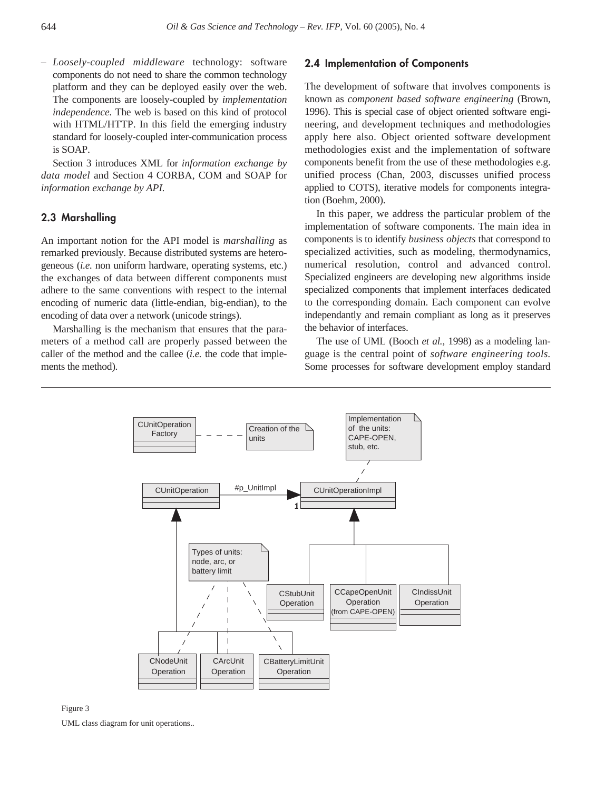*– Loosely-coupled middleware* technology: software components do not need to share the common technology platform and they can be deployed easily over the web. The components are loosely-coupled by *implementation independence.* The web is based on this kind of protocol with HTML/HTTP. In this field the emerging industry standard for loosely-coupled inter-communication process is SOAP.

Section 3 introduces XML for *information exchange by data model* and Section 4 CORBA, COM and SOAP for *information exchange by API.*

# **2.3 Marshalling**

An important notion for the API model is *marshalling* as remarked previously. Because distributed systems are heterogeneous (*i.e.* non uniform hardware, operating systems, etc.) the exchanges of data between different components must adhere to the same conventions with respect to the internal encoding of numeric data (little-endian, big-endian), to the encoding of data over a network (unicode strings).

Marshalling is the mechanism that ensures that the parameters of a method call are properly passed between the caller of the method and the callee (*i.e.* the code that implements the method).

# **2.4 Implementation of Components**

The development of software that involves components is known as *component based software engineering* (Brown, 1996). This is special case of object oriented software engineering, and development techniques and methodologies apply here also. Object oriented software development methodologies exist and the implementation of software components benefit from the use of these methodologies e.g. unified process (Chan, 2003, discusses unified process applied to COTS), iterative models for components integration (Boehm, 2000).

In this paper, we address the particular problem of the implementation of software components. The main idea in components is to identify *business objects* that correspond to specialized activities, such as modeling, thermodynamics, numerical resolution, control and advanced control. Specialized engineers are developing new algorithms inside specialized components that implement interfaces dedicated to the corresponding domain. Each component can evolve independantly and remain compliant as long as it preserves the behavior of interfaces.

The use of UML (Booch *et al.,* 1998) as a modeling language is the central point of *software engineering tools.* Some processes for software development employ standard





UML class diagram for unit operations..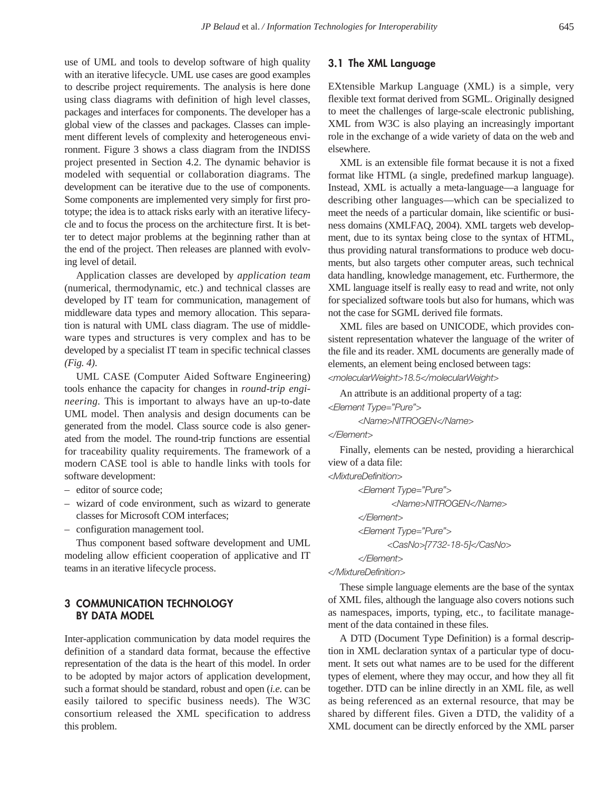use of UML and tools to develop software of high quality with an iterative lifecycle. UML use cases are good examples to describe project requirements. The analysis is here done using class diagrams with definition of high level classes, packages and interfaces for components. The developer has a global view of the classes and packages. Classes can implement different levels of complexity and heterogeneous environment. Figure 3 shows a class diagram from the INDISS project presented in Section 4.2. The dynamic behavior is modeled with sequential or collaboration diagrams. The development can be iterative due to the use of components. Some components are implemented very simply for first prototype; the idea is to attack risks early with an iterative lifecycle and to focus the process on the architecture first. It is better to detect major problems at the beginning rather than at the end of the project. Then releases are planned with evolving level of detail.

Application classes are developed by *application team* (numerical, thermodynamic, etc.) and technical classes are developed by IT team for communication, management of middleware data types and memory allocation. This separation is natural with UML class diagram. The use of middleware types and structures is very complex and has to be developed by a specialist IT team in specific technical classes *(Fig. 4)*.

UML CASE (Computer Aided Software Engineering) tools enhance the capacity for changes in *round-trip engineering.* This is important to always have an up-to-date UML model. Then analysis and design documents can be generated from the model. Class source code is also generated from the model. The round-trip functions are essential for traceability quality requirements. The framework of a modern CASE tool is able to handle links with tools for software development:

- editor of source code;
- wizard of code environment, such as wizard to generate classes for Microsoft COM interfaces;
- configuration management tool.

Thus component based software development and UML modeling allow efficient cooperation of applicative and IT teams in an iterative lifecycle process.

# **3 COMMUNICATION TECHNOLOGY BY DATA MODEL**

Inter-application communication by data model requires the definition of a standard data format, because the effective representation of the data is the heart of this model. In order to be adopted by major actors of application development, such a format should be standard, robust and open (*i.e.* can be easily tailored to specific business needs). The W3C consortium released the XML specification to address this problem.

# **3.1 The XML Language**

EXtensible Markup Language (XML) is a simple, very flexible text format derived from SGML. Originally designed to meet the challenges of large-scale electronic publishing, XML from W3C is also playing an increasingly important role in the exchange of a wide variety of data on the web and elsewhere.

XML is an extensible file format because it is not a fixed format like HTML (a single, predefined markup language). Instead, XML is actually a meta-language—a language for describing other languages—which can be specialized to meet the needs of a particular domain, like scientific or business domains (XMLFAQ, 2004). XML targets web development, due to its syntax being close to the syntax of HTML, thus providing natural transformations to produce web documents, but also targets other computer areas, such technical data handling, knowledge management, etc. Furthermore, the XML language itself is really easy to read and write, not only for specialized software tools but also for humans, which was not the case for SGML derived file formats.

XML files are based on UNICODE, which provides consistent representation whatever the language of the writer of the file and its reader. XML documents are generally made of elements, an element being enclosed between tags:

*<molecularWeight>18.5</molecularWeight>*

An attribute is an additional property of a tag:

*<Element Type="Pure">*

*<Name>NITROGEN</Name>*

# *</Element>*

Finally, elements can be nested, providing a hierarchical view of a data file:

*<MixtureDefinition>*

```
<Element Type="Pure">
       <Name>NITROGEN</Name>
</Element>
<Element Type="Pure">
      <CasNo>[7732-18-5]</CasNo>
</Element>
```
*</MixtureDefinition>*

These simple language elements are the base of the syntax of XML files, although the language also covers notions such as namespaces, imports, typing, etc., to facilitate management of the data contained in these files.

A DTD (Document Type Definition) is a formal description in XML declaration syntax of a particular type of document. It sets out what names are to be used for the different types of element, where they may occur, and how they all fit together. DTD can be inline directly in an XML file, as well as being referenced as an external resource, that may be shared by different files. Given a DTD, the validity of a XML document can be directly enforced by the XML parser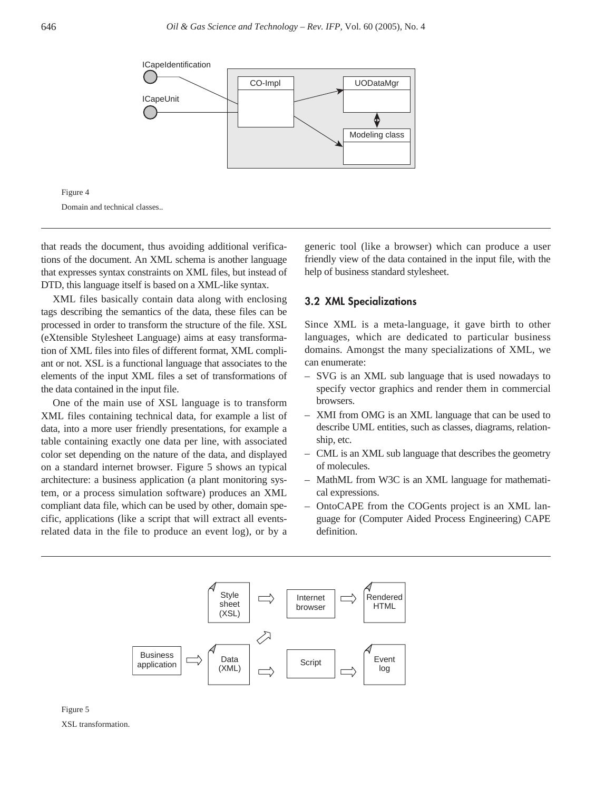



that reads the document, thus avoiding additional verifications of the document. An XML schema is another language that expresses syntax constraints on XML files, but instead of DTD, this language itself is based on a XML-like syntax.

XML files basically contain data along with enclosing tags describing the semantics of the data, these files can be processed in order to transform the structure of the file. XSL (eXtensible Stylesheet Language) aims at easy transformation of XML files into files of different format, XML compliant or not. XSL is a functional language that associates to the elements of the input XML files a set of transformations of the data contained in the input file.

One of the main use of XSL language is to transform XML files containing technical data, for example a list of data, into a more user friendly presentations, for example a table containing exactly one data per line, with associated color set depending on the nature of the data, and displayed on a standard internet browser. Figure 5 shows an typical architecture: a business application (a plant monitoring system, or a process simulation software) produces an XML compliant data file, which can be used by other, domain specific, applications (like a script that will extract all eventsrelated data in the file to produce an event log), or by a

generic tool (like a browser) which can produce a user friendly view of the data contained in the input file, with the help of business standard stylesheet.

## **3.2 XML Specializations**

Since XML is a meta-language, it gave birth to other languages, which are dedicated to particular business domains. Amongst the many specializations of XML, we can enumerate:

- SVG is an XML sub language that is used nowadays to specify vector graphics and render them in commercial browsers.
- XMI from OMG is an XML language that can be used to describe UML entities, such as classes, diagrams, relationship, etc.
- CML is an XML sub language that describes the geometry of molecules.
- MathML from W3C is an XML language for mathematical expressions.
- OntoCAPE from the COGents project is an XML language for (Computer Aided Process Engineering) CAPE definition.



Figure 5 XSL transformation.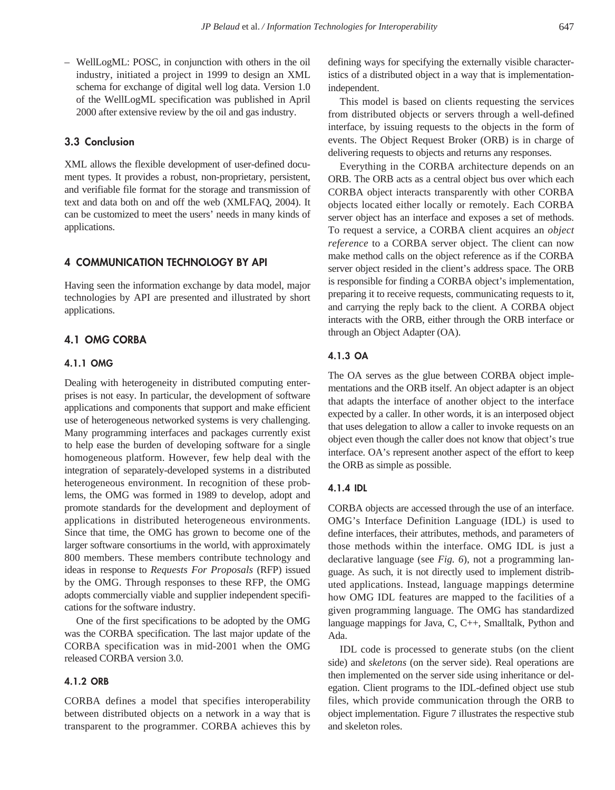– WellLogML: POSC, in conjunction with others in the oil industry, initiated a project in 1999 to design an XML schema for exchange of digital well log data. Version 1.0 of the WellLogML specification was published in April 2000 after extensive review by the oil and gas industry.

# **3.3 Conclusion**

XML allows the flexible development of user-defined document types. It provides a robust, non-proprietary, persistent, and verifiable file format for the storage and transmission of text and data both on and off the web (XMLFAQ, 2004). It can be customized to meet the users' needs in many kinds of applications.

# **4 COMMUNICATION TECHNOLOGY BY API**

Having seen the information exchange by data model, major technologies by API are presented and illustrated by short applications.

# **4.1 OMG CORBA**

## **4.1.1 OMG**

Dealing with heterogeneity in distributed computing enterprises is not easy. In particular, the development of software applications and components that support and make efficient use of heterogeneous networked systems is very challenging. Many programming interfaces and packages currently exist to help ease the burden of developing software for a single homogeneous platform. However, few help deal with the integration of separately-developed systems in a distributed heterogeneous environment. In recognition of these problems, the OMG was formed in 1989 to develop, adopt and promote standards for the development and deployment of applications in distributed heterogeneous environments. Since that time, the OMG has grown to become one of the larger software consortiums in the world, with approximately 800 members. These members contribute technology and ideas in response to *Requests For Proposals* (RFP) issued by the OMG. Through responses to these RFP, the OMG adopts commercially viable and supplier independent specifications for the software industry.

One of the first specifications to be adopted by the OMG was the CORBA specification. The last major update of the CORBA specification was in mid-2001 when the OMG released CORBA version 3.0.

## **4.1.2 ORB**

CORBA defines a model that specifies interoperability between distributed objects on a network in a way that is transparent to the programmer. CORBA achieves this by defining ways for specifying the externally visible characteristics of a distributed object in a way that is implementationindependent.

This model is based on clients requesting the services from distributed objects or servers through a well-defined interface, by issuing requests to the objects in the form of events. The Object Request Broker (ORB) is in charge of delivering requests to objects and returns any responses.

Everything in the CORBA architecture depends on an ORB. The ORB acts as a central object bus over which each CORBA object interacts transparently with other CORBA objects located either locally or remotely. Each CORBA server object has an interface and exposes a set of methods. To request a service, a CORBA client acquires an *object reference* to a CORBA server object. The client can now make method calls on the object reference as if the CORBA server object resided in the client's address space. The ORB is responsible for finding a CORBA object's implementation, preparing it to receive requests, communicating requests to it, and carrying the reply back to the client. A CORBA object interacts with the ORB, either through the ORB interface or through an Object Adapter (OA).

# **4.1.3 OA**

The OA serves as the glue between CORBA object implementations and the ORB itself. An object adapter is an object that adapts the interface of another object to the interface expected by a caller. In other words, it is an interposed object that uses delegation to allow a caller to invoke requests on an object even though the caller does not know that object's true interface. OA's represent another aspect of the effort to keep the ORB as simple as possible.

# **4.1.4 IDL**

CORBA objects are accessed through the use of an interface. OMG's Interface Definition Language (IDL) is used to define interfaces, their attributes, methods, and parameters of those methods within the interface. OMG IDL is just a declarative language (see *Fig. 6*), not a programming language. As such, it is not directly used to implement distributed applications. Instead, language mappings determine how OMG IDL features are mapped to the facilities of a given programming language. The OMG has standardized language mappings for Java, C, C++, Smalltalk, Python and Ada.

IDL code is processed to generate stubs (on the client side) and *skeletons* (on the server side). Real operations are then implemented on the server side using inheritance or delegation. Client programs to the IDL-defined object use stub files, which provide communication through the ORB to object implementation. Figure 7 illustrates the respective stub and skeleton roles.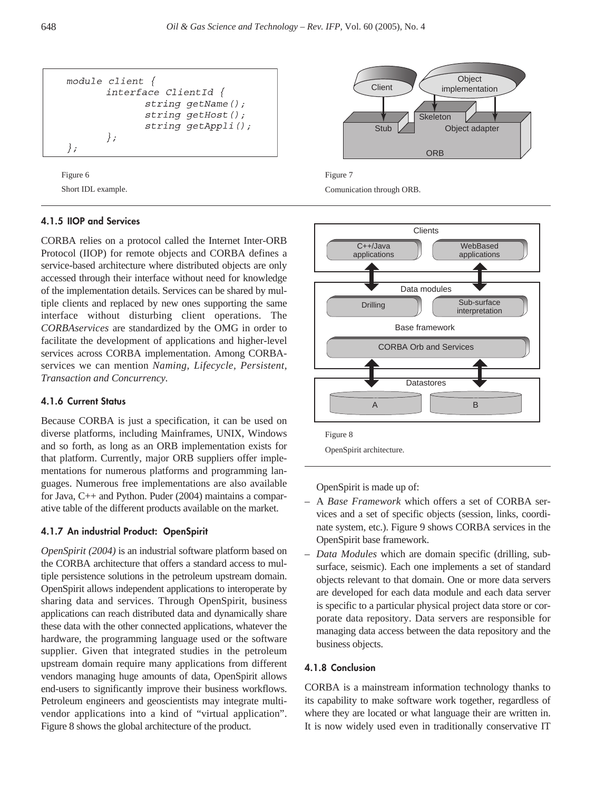



# **4.1.5 IIOP and Services**

CORBA relies on a protocol called the Internet Inter-ORB Protocol (IIOP) for remote objects and CORBA defines a service-based architecture where distributed objects are only accessed through their interface without need for knowledge of the implementation details. Services can be shared by multiple clients and replaced by new ones supporting the same interface without disturbing client operations. The *CORBAservices* are standardized by the OMG in order to facilitate the development of applications and higher-level services across CORBA implementation. Among CORBAservices we can mention *Naming, Lifecycle, Persistent, Transaction and Concurrency.*

## **4.1.6 Current Status**

Because CORBA is just a specification, it can be used on diverse platforms, including Mainframes, UNIX, Windows and so forth, as long as an ORB implementation exists for that platform. Currently, major ORB suppliers offer implementations for numerous platforms and programming languages. Numerous free implementations are also available for Java, C++ and Python. Puder (2004) maintains a comparative table of the different products available on the market.

## **4.1.7 An industrial Product: OpenSpirit**

*OpenSpirit (2004)* is an industrial software platform based on the CORBA architecture that offers a standard access to multiple persistence solutions in the petroleum upstream domain. OpenSpirit allows independent applications to interoperate by sharing data and services. Through OpenSpirit, business applications can reach distributed data and dynamically share these data with the other connected applications, whatever the hardware, the programming language used or the software supplier. Given that integrated studies in the petroleum upstream domain require many applications from different vendors managing huge amounts of data, OpenSpirit allows end-users to significantly improve their business workflows. Petroleum engineers and geoscientists may integrate multivendor applications into a kind of "virtual application". Figure 8 shows the global architecture of the product.







OpenSpirit is made up of:

- A *Base Framework* which offers a set of CORBA services and a set of specific objects (session, links, coordinate system, etc.). Figure 9 shows CORBA services in the OpenSpirit base framework.
- *Data Modules* which are domain specific (drilling, subsurface, seismic). Each one implements a set of standard objects relevant to that domain. One or more data servers are developed for each data module and each data server is specific to a particular physical project data store or corporate data repository. Data servers are responsible for managing data access between the data repository and the business objects.

#### **4.1.8 Conclusion**

CORBA is a mainstream information technology thanks to its capability to make software work together, regardless of where they are located or what language their are written in. It is now widely used even in traditionally conservative IT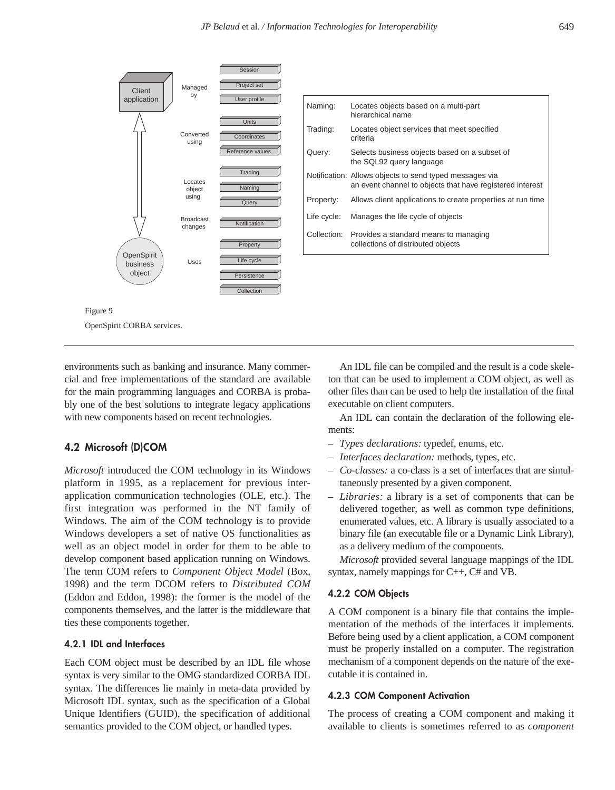

environments such as banking and insurance. Many commercial and free implementations of the standard are available for the main programming languages and CORBA is probably one of the best solutions to integrate legacy applications with new components based on recent technologies.

# **4.2 Microsoft (D)COM**

*Microsoft* introduced the COM technology in its Windows platform in 1995, as a replacement for previous interapplication communication technologies (OLE, etc.). The first integration was performed in the NT family of Windows. The aim of the COM technology is to provide Windows developers a set of native OS functionalities as well as an object model in order for them to be able to develop component based application running on Windows. The term COM refers to *Component Object Model* (Box, 1998) and the term DCOM refers to *Distributed COM* (Eddon and Eddon, 1998): the former is the model of the components themselves, and the latter is the middleware that ties these components together.

#### **4.2.1 IDL and Interfaces**

Each COM object must be described by an IDL file whose syntax is very similar to the OMG standardized CORBA IDL syntax. The differences lie mainly in meta-data provided by Microsoft IDL syntax, such as the specification of a Global Unique Identifiers (GUID), the specification of additional semantics provided to the COM object, or handled types.

An IDL file can be compiled and the result is a code skeleton that can be used to implement a COM object, as well as other files than can be used to help the installation of the final executable on client computers.

An IDL can contain the declaration of the following elements:

- *– Types declarations:* typedef, enums, etc.
- *Interfaces declaration:* methods, types, etc.
- *Co-classes:* a co-class is a set of interfaces that are simultaneously presented by a given component.
- *Libraries:* a library is a set of components that can be delivered together, as well as common type definitions, enumerated values, etc. A library is usually associated to a binary file (an executable file or a Dynamic Link Library), as a delivery medium of the components.

*Microsoft* provided several language mappings of the IDL syntax, namely mappings for C++, C# and VB.

#### **4.2.2 COM Objects**

A COM component is a binary file that contains the implementation of the methods of the interfaces it implements. Before being used by a client application, a COM component must be properly installed on a computer. The registration mechanism of a component depends on the nature of the executable it is contained in.

## **4.2.3 COM Component Activation**

The process of creating a COM component and making it available to clients is sometimes referred to as *component*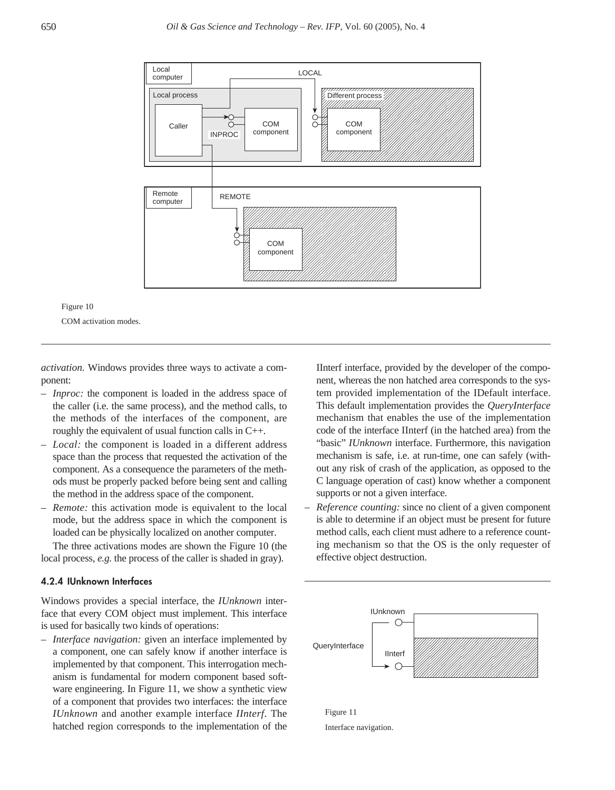

Figure 10 COM activation modes.

*activation.* Windows provides three ways to activate a component:

- *Inproc:* the component is loaded in the address space of the caller (i.e. the same process), and the method calls, to the methods of the interfaces of the component, are roughly the equivalent of usual function calls in C++.
- *Local:* the component is loaded in a different address space than the process that requested the activation of the component. As a consequence the parameters of the methods must be properly packed before being sent and calling the method in the address space of the component.
- *Remote:* this activation mode is equivalent to the local mode, but the address space in which the component is loaded can be physically localized on another computer.

The three activations modes are shown the Figure 10 (the local process, *e.g.* the process of the caller is shaded in gray).

#### **4.2.4 IUnknown Interfaces**

Windows provides a special interface, the *IUnknown* interface that every COM object must implement. This interface is used for basically two kinds of operations:

*– Interface navigation:* given an interface implemented by a component, one can safely know if another interface is implemented by that component. This interrogation mechanism is fundamental for modern component based software engineering. In Figure 11, we show a synthetic view of a component that provides two interfaces: the interface *IUnknown* and another example interface *IInterf*. The hatched region corresponds to the implementation of the IInterf interface, provided by the developer of the component, whereas the non hatched area corresponds to the system provided implementation of the IDefault interface. This default implementation provides the *QueryInterface* mechanism that enables the use of the implementation code of the interface IInterf (in the hatched area) from the "basic" *IUnknown* interface. Furthermore, this navigation mechanism is safe, i.e. at run-time, one can safely (without any risk of crash of the application, as opposed to the C language operation of cast) know whether a component supports or not a given interface.

– *Reference counting:* since no client of a given component is able to determine if an object must be present for future method calls, each client must adhere to a reference counting mechanism so that the OS is the only requester of effective object destruction.



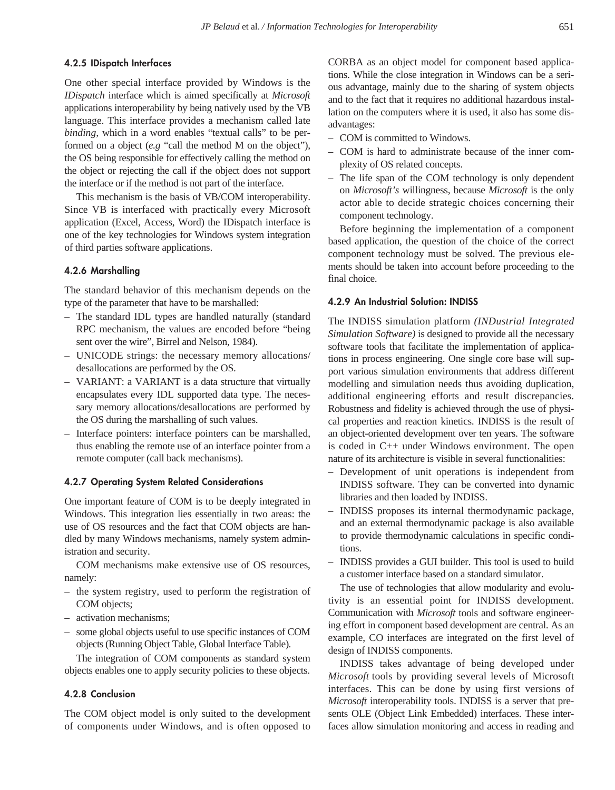# **4.2.5 IDispatch Interfaces**

One other special interface provided by Windows is the *IDispatch* interface which is aimed specifically at *Microsoft* applications interoperability by being natively used by the VB language. This interface provides a mechanism called late *binding,* which in a word enables "textual calls" to be performed on a object (*e.g* "call the method M on the object"), the OS being responsible for effectively calling the method on the object or rejecting the call if the object does not support the interface or if the method is not part of the interface.

This mechanism is the basis of VB/COM interoperability. Since VB is interfaced with practically every Microsoft application (Excel, Access, Word) the IDispatch interface is one of the key technologies for Windows system integration of third parties software applications.

## **4.2.6 Marshalling**

The standard behavior of this mechanism depends on the type of the parameter that have to be marshalled:

- The standard IDL types are handled naturally (standard RPC mechanism, the values are encoded before "being sent over the wire", Birrel and Nelson, 1984).
- UNICODE strings: the necessary memory allocations/ desallocations are performed by the OS.
- VARIANT: a VARIANT is a data structure that virtually encapsulates every IDL supported data type. The necessary memory allocations/desallocations are performed by the OS during the marshalling of such values.
- Interface pointers: interface pointers can be marshalled, thus enabling the remote use of an interface pointer from a remote computer (call back mechanisms).

#### **4.2.7 Operating System Related Considerations**

One important feature of COM is to be deeply integrated in Windows. This integration lies essentially in two areas: the use of OS resources and the fact that COM objects are handled by many Windows mechanisms, namely system administration and security.

COM mechanisms make extensive use of OS resources, namely:

- the system registry, used to perform the registration of COM objects;
- activation mechanisms;
- some global objects useful to use specific instances of COM objects (Running Object Table, Global Interface Table).

The integration of COM components as standard system objects enables one to apply security policies to these objects.

# **4.2.8 Conclusion**

The COM object model is only suited to the development of components under Windows, and is often opposed to CORBA as an object model for component based applications. While the close integration in Windows can be a serious advantage, mainly due to the sharing of system objects and to the fact that it requires no additional hazardous installation on the computers where it is used, it also has some disadvantages:

- COM is committed to Windows.
- COM is hard to administrate because of the inner complexity of OS related concepts.
- The life span of the COM technology is only dependent on *Microsoft's* willingness, because *Microsoft* is the only actor able to decide strategic choices concerning their component technology.

Before beginning the implementation of a component based application, the question of the choice of the correct component technology must be solved. The previous elements should be taken into account before proceeding to the final choice.

#### **4.2.9 An Industrial Solution: INDISS**

The INDISS simulation platform *(INDustrial Integrated Simulation Software)* is designed to provide all the necessary software tools that facilitate the implementation of applications in process engineering. One single core base will support various simulation environments that address different modelling and simulation needs thus avoiding duplication, additional engineering efforts and result discrepancies. Robustness and fidelity is achieved through the use of physical properties and reaction kinetics. INDISS is the result of an object-oriented development over ten years. The software is coded in C++ under Windows environment. The open nature of its architecture is visible in several functionalities:

- Development of unit operations is independent from INDISS software. They can be converted into dynamic libraries and then loaded by INDISS.
- INDISS proposes its internal thermodynamic package, and an external thermodynamic package is also available to provide thermodynamic calculations in specific conditions.
- INDISS provides a GUI builder. This tool is used to build a customer interface based on a standard simulator.

The use of technologies that allow modularity and evolutivity is an essential point for INDISS development. Communication with *Microsoft* tools and software engineering effort in component based development are central. As an example, CO interfaces are integrated on the first level of design of INDISS components.

INDISS takes advantage of being developed under *Microsoft* tools by providing several levels of Microsoft interfaces. This can be done by using first versions of *Microsoft* interoperability tools. INDISS is a server that presents OLE (Object Link Embedded) interfaces. These interfaces allow simulation monitoring and access in reading and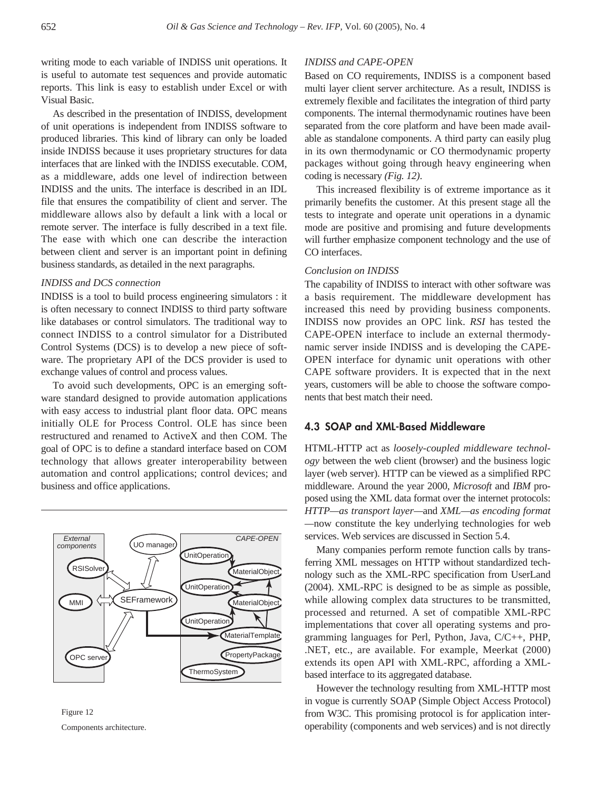writing mode to each variable of INDISS unit operations. It is useful to automate test sequences and provide automatic reports. This link is easy to establish under Excel or with Visual Basic.

As described in the presentation of INDISS, development of unit operations is independent from INDISS software to produced libraries. This kind of library can only be loaded inside INDISS because it uses proprietary structures for data interfaces that are linked with the INDISS executable. COM, as a middleware, adds one level of indirection between INDISS and the units. The interface is described in an IDL file that ensures the compatibility of client and server. The middleware allows also by default a link with a local or remote server. The interface is fully described in a text file. The ease with which one can describe the interaction between client and server is an important point in defining business standards, as detailed in the next paragraphs.

#### *INDISS and DCS connection*

INDISS is a tool to build process engineering simulators : it is often necessary to connect INDISS to third party software like databases or control simulators. The traditional way to connect INDISS to a control simulator for a Distributed Control Systems (DCS) is to develop a new piece of software. The proprietary API of the DCS provider is used to exchange values of control and process values.

To avoid such developments, OPC is an emerging software standard designed to provide automation applications with easy access to industrial plant floor data. OPC means initially OLE for Process Control. OLE has since been restructured and renamed to ActiveX and then COM. The goal of OPC is to define a standard interface based on COM technology that allows greater interoperability between automation and control applications; control devices; and business and office applications.



Figure 12 Components architecture.

#### *INDISS and CAPE-OPEN*

Based on CO requirements, INDISS is a component based multi layer client server architecture. As a result, INDISS is extremely flexible and facilitates the integration of third party components. The internal thermodynamic routines have been separated from the core platform and have been made available as standalone components. A third party can easily plug in its own thermodynamic or CO thermodynamic property packages without going through heavy engineering when coding is necessary *(Fig. 12)*.

This increased flexibility is of extreme importance as it primarily benefits the customer. At this present stage all the tests to integrate and operate unit operations in a dynamic mode are positive and promising and future developments will further emphasize component technology and the use of CO interfaces.

#### *Conclusion on INDISS*

The capability of INDISS to interact with other software was a basis requirement. The middleware development has increased this need by providing business components. INDISS now provides an OPC link. *RSI* has tested the CAPE-OPEN interface to include an external thermodynamic server inside INDISS and is developing the CAPE-OPEN interface for dynamic unit operations with other CAPE software providers. It is expected that in the next years, customers will be able to choose the software components that best match their need.

# **4.3 SOAP and XML-Based Middleware**

HTML-HTTP act as *loosely-coupled middleware technology* between the web client (browser) and the business logic layer (web server). HTTP can be viewed as a simplified RPC middleware. Around the year 2000, *Microsoft* and *IBM* proposed using the XML data format over the internet protocols: *HTTP—as transport layer—*and *XML—as encoding format —*now constitute the key underlying technologies for web services. Web services are discussed in Section 5.4.

Many companies perform remote function calls by transferring XML messages on HTTP without standardized technology such as the XML-RPC specification from UserLand (2004). XML-RPC is designed to be as simple as possible, while allowing complex data structures to be transmitted, processed and returned. A set of compatible XML-RPC implementations that cover all operating systems and programming languages for Perl, Python, Java, C/C++, PHP, .NET, etc., are available. For example, Meerkat (2000) extends its open API with XML-RPC, affording a XMLbased interface to its aggregated database.

However the technology resulting from XML-HTTP most in vogue is currently SOAP (Simple Object Access Protocol) from W3C. This promising protocol is for application interoperability (components and web services) and is not directly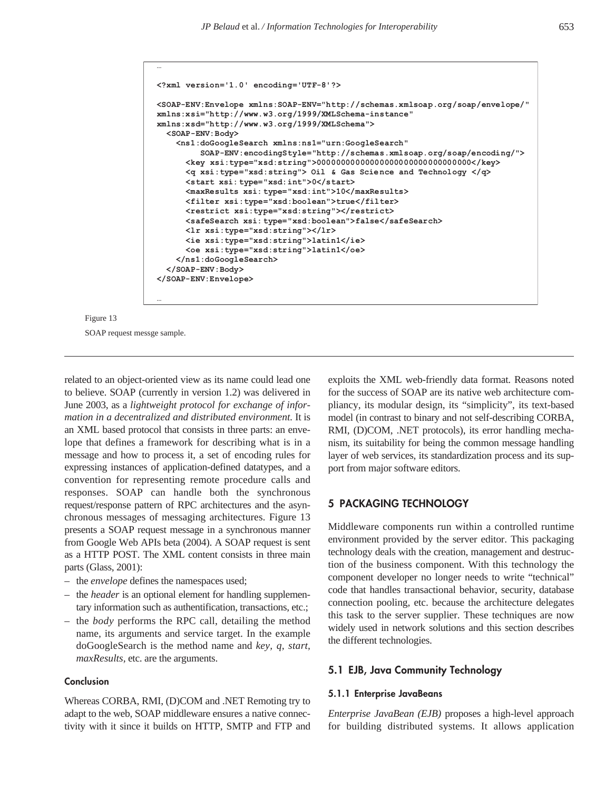```
<?xml version='1.0' encoding='UTF-8'?>
<SOAP-ENV:Envelope xmlns:SOAP-ENV="http://schemas.xmlsoap.org/soap/envelope/"
xmlns:xsi="http://www.w3.org/1999/XMLSchema-instance"
xmlns:xsd="http://www.w3.org/1999/XMLSchema">
   <SOAP-ENV:Body>
     <ns1:doGoogleSearch xmlns:ns1="urn:GoogleSearch"
          SOAP-ENV:encodingStyle="http://schemas.xmlsoap.org/soap/encoding/">
       <key xsi:type="xsd:string">00000000000000000000000000000000</key>
       <q xsi:type="xsd:string"> Oil & Gas Scie nce and Technology </q>
       <start xsi: type="xsd:int">0</start>
       <maxResults xsi: type="xsd:int">10</maxResults>
       <filter xsi:type="xsd:boolean">true</filter>
       <restrict xsi:type="xsd:string"></restrict>
       <safeSearch xsi: type="xsd:boolean">false</safeSearch>
       <lr xsi:type="xsd:string"></lr>
       <ie xsi:type="xsd:string">latin1</ie>
       <oe xsi:type="xsd:string">latin1</oe>
     </ns1:doGoogleSearch>
   </SOAP-ENV:Body>
</SOAP-ENV:Envelope>
…
```


**…**

related to an object-oriented view as its name could lead one to believe. SOAP (currently in version 1.2) was delivered in June 2003, as a *lightweight protocol for exchange of information in a decentralized and distributed environment.* It is an XML based protocol that consists in three parts: an envelope that defines a framework for describing what is in a message and how to process it, a set of encoding rules for expressing instances of application-defined datatypes, and a convention for representing remote procedure calls and responses. SOAP can handle both the synchronous request/response pattern of RPC architectures and the asynchronous messages of messaging architectures. Figure 13 presents a SOAP request message in a synchronous manner from Google Web APIs beta (2004). A SOAP request is sent as a HTTP POST. The XML content consists in three main parts (Glass, 2001):

- the *envelope* defines the namespaces used;
- the *header* is an optional element for handling supplementary information such as authentification, transactions, etc.;
- the *body* performs the RPC call, detailing the method name, its arguments and service target. In the example doGoogleSearch is the method name and *key, q, start, maxResults,* etc. are the arguments.

# **Conclusion**

Whereas CORBA, RMI, (D)COM and .NET Remoting try to adapt to the web, SOAP middleware ensures a native connectivity with it since it builds on HTTP, SMTP and FTP and exploits the XML web-friendly data format. Reasons noted for the success of SOAP are its native web architecture compliancy, its modular design, its "simplicity", its text-based model (in contrast to binary and not self-describing CORBA, RMI, (D)COM, .NET protocols), its error handling mechanism, its suitability for being the common message handling layer of web services, its standardization process and its support from major software editors.

# **5 PACKAGING TECHNOLOGY**

Middleware components run within a controlled runtime environment provided by the server editor. This packaging technology deals with the creation, management and destruction of the business component. With this technology the component developer no longer needs to write "technical" code that handles transactional behavior, security, database connection pooling, etc. because the architecture delegates this task to the server supplier. These techniques are now widely used in network solutions and this section describes the different technologies.

#### **5.1 EJB, Java Community Technology**

#### **5.1.1 Enterprise JavaBeans**

*Enterprise JavaBean (EJB)* proposes a high-level approach for building distributed systems. It allows application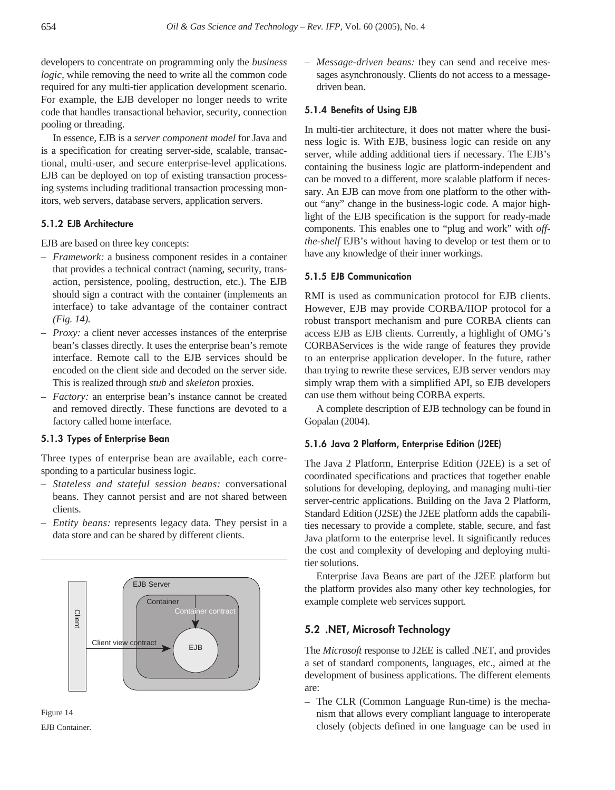developers to concentrate on programming only the *business logic,* while removing the need to write all the common code required for any multi-tier application development scenario. For example, the EJB developer no longer needs to write code that handles transactional behavior, security, connection pooling or threading.

In essence, EJB is a *server component model* for Java and is a specification for creating server-side, scalable, transactional, multi-user, and secure enterprise-level applications. EJB can be deployed on top of existing transaction processing systems including traditional transaction processing monitors, web servers, database servers, application servers.

# **5.1.2 EJB Architecture**

EJB are based on three key concepts:

- *– Framework:* a business component resides in a container that provides a technical contract (naming, security, transaction, persistence, pooling, destruction, etc.). The EJB should sign a contract with the container (implements an interface) to take advantage of the container contract *(Fig. 14).*
- *– Proxy:* a client never accesses instances of the enterprise bean's classes directly. It uses the enterprise bean's remote interface. Remote call to the EJB services should be encoded on the client side and decoded on the server side. This is realized through *stub* and *skeleton* proxies.
- *Factory:* an enterprise bean's instance cannot be created and removed directly. These functions are devoted to a factory called home interface.

## **5.1.3 Types of Enterprise Bean**

Three types of enterprise bean are available, each corresponding to a particular business logic.

- *– Stateless and stateful session beans:* conversational beans. They cannot persist and are not shared between clients.
- *Entity beans:* represents legacy data. They persist in a data store and can be shared by different clients.





*– Message-driven beans:* they can send and receive messages asynchronously. Clients do not access to a messagedriven bean.

#### **5.1.4 Benefits of Using EJB**

In multi-tier architecture, it does not matter where the business logic is. With EJB, business logic can reside on any server, while adding additional tiers if necessary. The EJB's containing the business logic are platform-independent and can be moved to a different, more scalable platform if necessary. An EJB can move from one platform to the other without "any" change in the business-logic code. A major highlight of the EJB specification is the support for ready-made components. This enables one to "plug and work" with *offthe-shelf* EJB's without having to develop or test them or to have any knowledge of their inner workings.

## **5.1.5 EJB Communication**

RMI is used as communication protocol for EJB clients. However, EJB may provide CORBA/IIOP protocol for a robust transport mechanism and pure CORBA clients can access EJB as EJB clients. Currently, a highlight of OMG's CORBAServices is the wide range of features they provide to an enterprise application developer. In the future, rather than trying to rewrite these services, EJB server vendors may simply wrap them with a simplified API, so EJB developers can use them without being CORBA experts.

A complete description of EJB technology can be found in Gopalan (2004).

## **5.1.6 Java 2 Platform, Enterprise Edition (J2EE)**

The Java 2 Platform, Enterprise Edition (J2EE) is a set of coordinated specifications and practices that together enable solutions for developing, deploying, and managing multi-tier server-centric applications. Building on the Java 2 Platform, Standard Edition (J2SE) the J2EE platform adds the capabilities necessary to provide a complete, stable, secure, and fast Java platform to the enterprise level. It significantly reduces the cost and complexity of developing and deploying multitier solutions.

Enterprise Java Beans are part of the J2EE platform but the platform provides also many other key technologies, for example complete web services support.

# **5.2 .NET, Microsoft Technology**

The *Microsoft* response to J2EE is called .NET, and provides a set of standard components, languages, etc., aimed at the development of business applications. The different elements are:

– The CLR (Common Language Run-time) is the mechanism that allows every compliant language to interoperate closely (objects defined in one language can be used in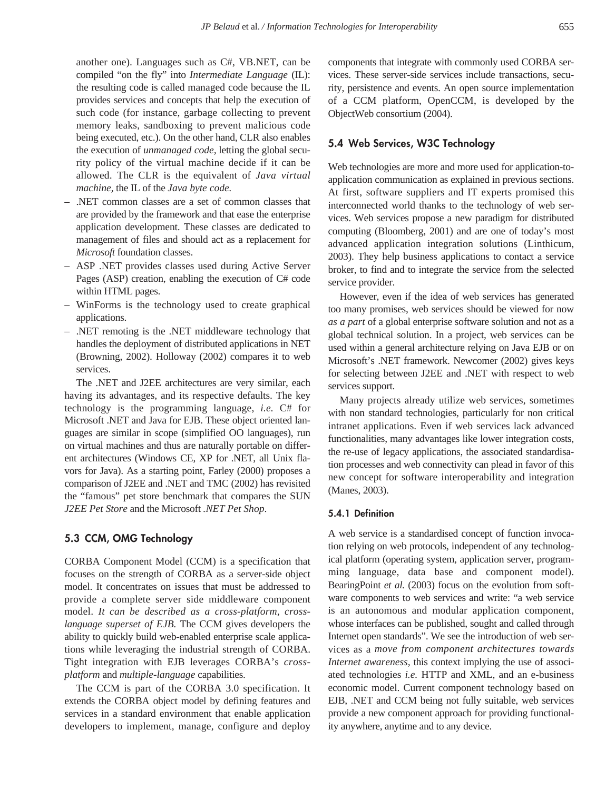another one). Languages such as C#, VB.NET, can be compiled "on the fly" into *Intermediate Language* (IL): the resulting code is called managed code because the IL provides services and concepts that help the execution of such code (for instance, garbage collecting to prevent memory leaks, sandboxing to prevent malicious code being executed, etc.). On the other hand, CLR also enables the execution of *unmanaged code,* letting the global security policy of the virtual machine decide if it can be allowed. The CLR is the equivalent of *Java virtual machine,* the IL of the *Java byte code.*

- .NET common classes are a set of common classes that are provided by the framework and that ease the enterprise application development. These classes are dedicated to management of files and should act as a replacement for *Microsoft* foundation classes.
- ASP .NET provides classes used during Active Server Pages (ASP) creation, enabling the execution of C# code within HTML pages.
- WinForms is the technology used to create graphical applications.
- .NET remoting is the .NET middleware technology that handles the deployment of distributed applications in NET (Browning, 2002). Holloway (2002) compares it to web services.

The .NET and J2EE architectures are very similar, each having its advantages, and its respective defaults. The key technology is the programming language, *i.e.* C# for Microsoft .NET and Java for EJB. These object oriented languages are similar in scope (simplified OO languages), run on virtual machines and thus are naturally portable on different architectures (Windows CE, XP for .NET, all Unix flavors for Java). As a starting point, Farley (2000) proposes a comparison of J2EE and .NET and TMC (2002) has revisited the "famous" pet store benchmark that compares the SUN *J2EE Pet Store* and the Microsoft *.NET Pet Shop*.

# **5.3 CCM, OMG Technology**

CORBA Component Model (CCM) is a specification that focuses on the strength of CORBA as a server-side object model. It concentrates on issues that must be addressed to provide a complete server side middleware component model. *It can be described as a cross-platform, crosslanguage superset of EJB.* The CCM gives developers the ability to quickly build web-enabled enterprise scale applications while leveraging the industrial strength of CORBA. Tight integration with EJB leverages CORBA's *crossplatform* and *multiple-language* capabilities.

The CCM is part of the CORBA 3.0 specification. It extends the CORBA object model by defining features and services in a standard environment that enable application developers to implement, manage, configure and deploy components that integrate with commonly used CORBA services. These server-side services include transactions, security, persistence and events. An open source implementation of a CCM platform, OpenCCM, is developed by the ObjectWeb consortium (2004).

# **5.4 Web Services, W3C Technology**

Web technologies are more and more used for application-toapplication communication as explained in previous sections. At first, software suppliers and IT experts promised this interconnected world thanks to the technology of web services. Web services propose a new paradigm for distributed computing (Bloomberg, 2001) and are one of today's most advanced application integration solutions (Linthicum, 2003). They help business applications to contact a service broker, to find and to integrate the service from the selected service provider.

However, even if the idea of web services has generated too many promises, web services should be viewed for now *as a part* of a global enterprise software solution and not as a global technical solution. In a project, web services can be used within a general architecture relying on Java EJB or on Microsoft's .NET framework. Newcomer (2002) gives keys for selecting between J2EE and .NET with respect to web services support.

Many projects already utilize web services, sometimes with non standard technologies, particularly for non critical intranet applications. Even if web services lack advanced functionalities, many advantages like lower integration costs, the re-use of legacy applications, the associated standardisation processes and web connectivity can plead in favor of this new concept for software interoperability and integration (Manes, 2003).

# **5.4.1 Definition**

A web service is a standardised concept of function invocation relying on web protocols, independent of any technological platform (operating system, application server, programming language, data base and component model). BearingPoint *et al.* (2003) focus on the evolution from software components to web services and write: "a web service is an autonomous and modular application component, whose interfaces can be published, sought and called through Internet open standards". We see the introduction of web services as a *move from component architectures towards Internet awareness,* this context implying the use of associated technologies *i.e.* HTTP and XML, and an e-business economic model. Current component technology based on EJB, .NET and CCM being not fully suitable, web services provide a new component approach for providing functionality anywhere, anytime and to any device.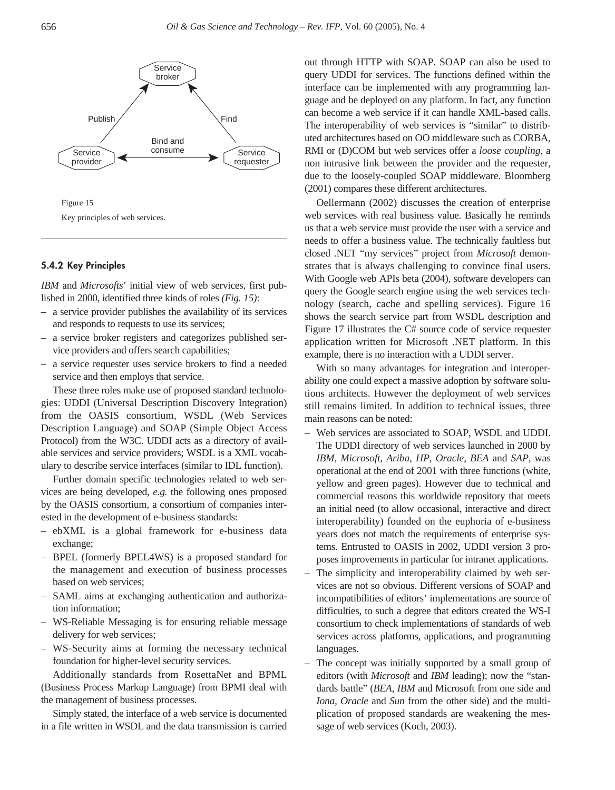

Key principles of web services.

## **5.4.2 Key Principles**

*IBM* and *Microsofts*' initial view of web services, first published in 2000, identified three kinds of roles *(Fig. 15)*:

- a service provider publishes the availability of its services and responds to requests to use its services;
- a service broker registers and categorizes published service providers and offers search capabilities;
- a service requester uses service brokers to find a needed service and then employs that service.

These three roles make use of proposed standard technologies: UDDI (Universal Description Discovery Integration) from the OASIS consortium, WSDL (Web Services Description Language) and SOAP (Simple Object Access Protocol) from the W3C. UDDI acts as a directory of available services and service providers; WSDL is a XML vocabulary to describe service interfaces (similar to IDL function).

Further domain specific technologies related to web services are being developed, *e.g.* the following ones proposed by the OASIS consortium, a consortium of companies interested in the development of e-business standards:

- ebXML is a global framework for e-business data exchange;
- BPEL (formerly BPEL4WS) is a proposed standard for the management and execution of business processes based on web services;
- SAML aims at exchanging authentication and authorization information;
- WS-Reliable Messaging is for ensuring reliable message delivery for web services;
- WS-Security aims at forming the necessary technical foundation for higher-level security services.

Additionally standards from RosettaNet and BPML (Business Process Markup Language) from BPMI deal with the management of business processes.

Simply stated, the interface of a web service is documented in a file written in WSDL and the data transmission is carried out through HTTP with SOAP. SOAP can also be used to query UDDI for services. The functions defined within the interface can be implemented with any programming language and be deployed on any platform. In fact, any function can become a web service if it can handle XML-based calls. The interoperability of web services is "similar" to distributed architectures based on OO middleware such as CORBA, RMI or (D)COM but web services offer a *loose coupling*, a non intrusive link between the provider and the requester, due to the loosely-coupled SOAP middleware. Bloomberg (2001) compares these different architectures.

Oellermann (2002) discusses the creation of enterprise web services with real business value. Basically he reminds us that a web service must provide the user with a service and needs to offer a business value. The technically faultless but closed .NET "my services" project from *Microsoft* demonstrates that is always challenging to convince final users. With Google web APIs beta (2004), software developers can query the Google search engine using the web services technology (search, cache and spelling services). Figure 16 shows the search service part from WSDL description and Figure 17 illustrates the C# source code of service requester application written for Microsoft .NET platform. In this example, there is no interaction with a UDDI server.

With so many advantages for integration and interoperability one could expect a massive adoption by software solutions architects. However the deployment of web services still remains limited. In addition to technical issues, three main reasons can be noted:

- Web services are associated to SOAP, WSDL and UDDI. The UDDI directory of web services launched in 2000 by *IBM, Microsoft, Ariba, HP, Oracle, BEA* and *SAP*, was operational at the end of 2001 with three functions (white, yellow and green pages). However due to technical and commercial reasons this worldwide repository that meets an initial need (to allow occasional, interactive and direct interoperability) founded on the euphoria of e-business years does not match the requirements of enterprise systems. Entrusted to OASIS in 2002, UDDI version 3 proposes improvements in particular for intranet applications.
- The simplicity and interoperability claimed by web services are not so obvious. Different versions of SOAP and incompatibilities of editors' implementations are source of difficulties, to such a degree that editors created the WS-I consortium to check implementations of standards of web services across platforms, applications, and programming languages.
- The concept was initially supported by a small group of editors (with *Microsoft* and *IBM* leading); now the "standards battle" (*BEA, IBM* and Microsoft from one side and *Iona, Oracle* and *Sun* from the other side) and the multiplication of proposed standards are weakening the message of web services (Koch, 2003).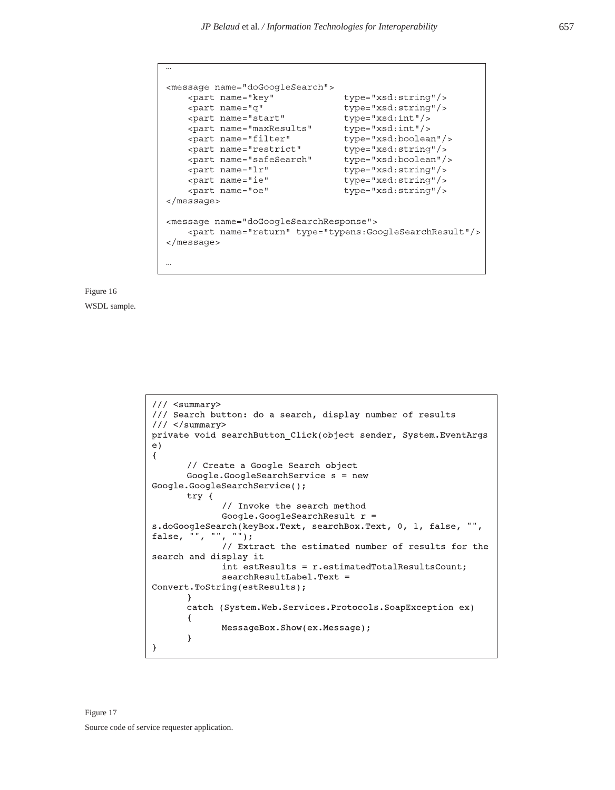```
<message name="doGoogleSearch">
   <part name="key"
                                type="xsd:string"/>
   <part name="q"
                                type="xsd:string"/>
   <part name="start"
                               type="xsd:int"/>
   <part name="maxResults"
                               type="xsd:int"/>
   <part name="filter"
                               type="xsd:boolean"/>
   <part name="restrict"
                                type="xsd:string"/>
   <part name="safeSearch"
                                type="xsd:boolean"/>
                                type="xsd:string"/>
   <part name="lr"
   <part name="ie"
                                type="xsd:string"/>
   <part name="oe"
                                type="xsd:string"/>
\alpha/message>
<message name="doGoogleSearchResponse">
   <part name="return" type="typens:GoogleSearchResult"/>
\alpha/message>
...
```


```
/// <summary>
/// Search button: do a search, display number of results
// / </summary>
private void searchButton Click(object sender, System.EventArgs
e)\{// Create a Google Search object
       Google.GoogleSearchService s = new
Google.GoogleSearchService();
       try {
              // Invoke the search method
             Google.GoogleSearchResult r =s.doGoogleSearch(keyBox.Text, searchBox.Text, 0, 1, false, "",
false, "", "", "");
              // Extract the estimated number of results for the
search and display it
             int estResults = r. estimatedTotalResultsCount;
             searchResultLabel.Text =
Convert.ToString(estResults);
       \}catch (System.Web.Services.Protocols.SoapException ex)
       \{MessageBox.Show(ex.Message);
       \mathcal{E}\mathcal{F}
```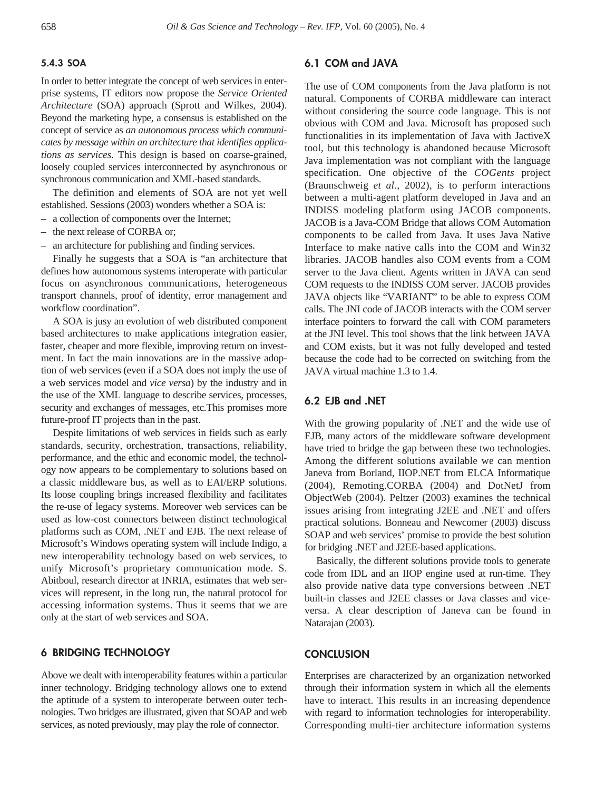# **5.4.3 SOA**

In order to better integrate the concept of web services in enterprise systems, IT editors now propose the *Service Oriented Architecture* (SOA) approach (Sprott and Wilkes, 2004). Beyond the marketing hype, a consensus is established on the concept of service as *an autonomous process which communicates by message within an architecture that identifies applications as services.* This design is based on coarse-grained, loosely coupled services interconnected by asynchronous or synchronous communication and XML-based standards.

The definition and elements of SOA are not yet well established. Sessions (2003) wonders whether a SOA is:

- a collection of components over the Internet;
- the next release of CORBA or;
- an architecture for publishing and finding services.

Finally he suggests that a SOA is "an architecture that defines how autonomous systems interoperate with particular focus on asynchronous communications, heterogeneous transport channels, proof of identity, error management and workflow coordination".

A SOA is jusy an evolution of web distributed component based architectures to make applications integration easier, faster, cheaper and more flexible, improving return on investment. In fact the main innovations are in the massive adoption of web services (even if a SOA does not imply the use of a web services model and *vice versa*) by the industry and in the use of the XML language to describe services, processes, security and exchanges of messages, etc.This promises more future-proof IT projects than in the past.

Despite limitations of web services in fields such as early standards, security, orchestration, transactions, reliability, performance, and the ethic and economic model, the technology now appears to be complementary to solutions based on a classic middleware bus, as well as to EAI/ERP solutions. Its loose coupling brings increased flexibility and facilitates the re-use of legacy systems. Moreover web services can be used as low-cost connectors between distinct technological platforms such as COM, .NET and EJB. The next release of Microsoft's Windows operating system will include Indigo, a new interoperability technology based on web services, to unify Microsoft's proprietary communication mode. S. Abitboul, research director at INRIA, estimates that web services will represent, in the long run, the natural protocol for accessing information systems. Thus it seems that we are only at the start of web services and SOA.

#### **6 BRIDGING TECHNOLOGY**

Above we dealt with interoperability features within a particular inner technology. Bridging technology allows one to extend the aptitude of a system to interoperate between outer technologies. Two bridges are illustrated, given that SOAP and web services, as noted previously, may play the role of connector.

# **6.1 COM and JAVA**

The use of COM components from the Java platform is not natural. Components of CORBA middleware can interact without considering the source code language. This is not obvious with COM and Java. Microsoft has proposed such functionalities in its implementation of Java with JactiveX tool, but this technology is abandoned because Microsoft Java implementation was not compliant with the language specification. One objective of the *COGents* project (Braunschweig *et al.,* 2002), is to perform interactions between a multi-agent platform developed in Java and an INDISS modeling platform using JACOB components. JACOB is a Java-COM Bridge that allows COM Automation components to be called from Java. It uses Java Native Interface to make native calls into the COM and Win32 libraries. JACOB handles also COM events from a COM server to the Java client. Agents written in JAVA can send COM requests to the INDISS COM server. JACOB provides JAVA objects like "VARIANT" to be able to express COM calls. The JNI code of JACOB interacts with the COM server interface pointers to forward the call with COM parameters at the JNI level. This tool shows that the link between JAVA and COM exists, but it was not fully developed and tested because the code had to be corrected on switching from the JAVA virtual machine 1.3 to 1.4.

# **6.2 EJB and .NET**

With the growing popularity of .NET and the wide use of EJB, many actors of the middleware software development have tried to bridge the gap between these two technologies. Among the different solutions available we can mention Janeva from Borland, IIOP.NET from ELCA Informatique (2004), Remoting.CORBA (2004) and DotNetJ from ObjectWeb (2004). Peltzer (2003) examines the technical issues arising from integrating J2EE and .NET and offers practical solutions. Bonneau and Newcomer (2003) discuss SOAP and web services' promise to provide the best solution for bridging .NET and J2EE-based applications.

Basically, the different solutions provide tools to generate code from IDL and an IIOP engine used at run-time. They also provide native data type conversions between .NET built-in classes and J2EE classes or Java classes and viceversa. A clear description of Janeva can be found in Natarajan (2003).

# **CONCLUSION**

Enterprises are characterized by an organization networked through their information system in which all the elements have to interact. This results in an increasing dependence with regard to information technologies for interoperability. Corresponding multi-tier architecture information systems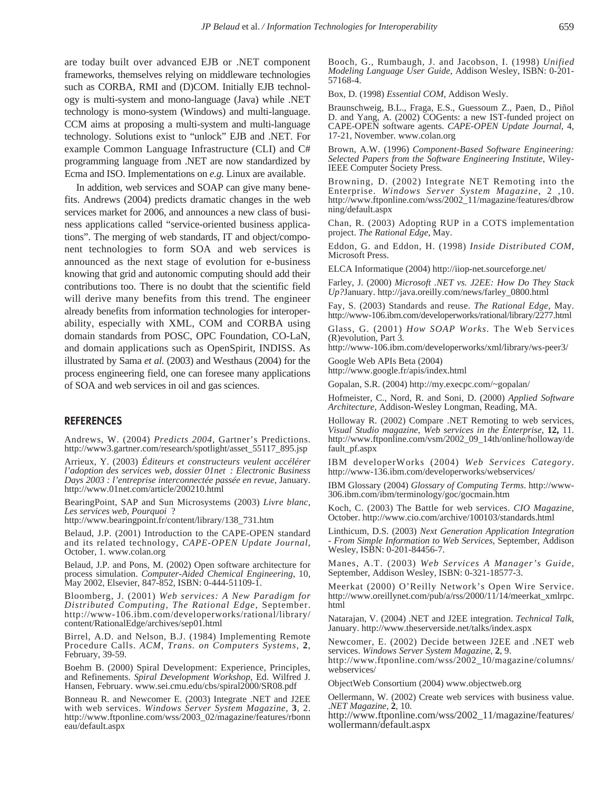are today built over advanced EJB or .NET component frameworks, themselves relying on middleware technologies such as CORBA, RMI and (D)COM. Initially EJB technology is multi-system and mono-language (Java) while .NET technology is mono-system (Windows) and multi-language. CCM aims at proposing a multi-system and multi-language technology. Solutions exist to "unlock" EJB and .NET. For example Common Language Infrastructure (CLI) and C# programming language from .NET are now standardized by Ecma and ISO. Implementations on *e.g.* Linux are available.

In addition, web services and SOAP can give many benefits. Andrews (2004) predicts dramatic changes in the web services market for 2006, and announces a new class of business applications called "service-oriented business applications". The merging of web standards, IT and object/component technologies to form SOA and web services is announced as the next stage of evolution for e-business knowing that grid and autonomic computing should add their contributions too. There is no doubt that the scientific field will derive many benefits from this trend. The engineer already benefits from information technologies for interoperability, especially with XML, COM and CORBA using domain standards from POSC, OPC Foundation, CO-LaN, and domain applications such as OpenSpirit, INDISS. As illustrated by Sama *et al.* (2003) and Westhaus (2004) for the process engineering field, one can foresee many applications of SOA and web services in oil and gas sciences.

#### **REFERENCES**

Andrews, W. (2004) *Predicts 2004*, Gartner's Predictions. http://www3.gartner.com/research/spotlight/asset\_55117\_895.jsp

Arrieux, Y. (2003) *Éditeurs et constructeurs veulent accélérer l'adoption des services web, dossier 01net : Electronic Business Days 2003 : l'entreprise interconnectée passée en revue*, January. http://www.01net.com/article/200210.html

BearingPoint, SAP and Sun Microsystems (2003) *Livre blanc*, *Les services web, Pourquoi* ?

http://www.bearingpoint.fr/content/library/138\_731.htm

Belaud, J.P. (2001) Introduction to the CAPE-OPEN standard and its related technology, *CAPE-OPEN Update Journal*, October, 1. www.colan.org

Belaud, J.P. and Pons, M. (2002) Open software architecture for process simulation. *Computer-Aided Chemical Engineering,* 10, May 2002, Elsevier, 847-852, ISBN: 0-444-51109-1.

Bloomberg, J. (2001) *Web services: A New Paradigm for Distributed Computing, The Rational Edge*, September. http://www-106.ibm.com/developerworks/rational/library/ content/RationalEdge/archives/sep01.html

Birrel, A.D. and Nelson, B.J. (1984) Implementing Remote Procedure Calls. *ACM, Trans. on Computers Systems*, **2**, February, 39-59.

Boehm B. (2000) Spiral Development: Experience, Principles, and Refinements. *Spiral Development Workshop*, Ed. Wilfred J. Hansen, February. www.sei.cmu.edu/cbs/spiral2000/SR08.pdf

Bonneau R. and Newcomer E. (2003) Integrate .NET and J2EE with web services. *Windows Server System Magazine*, **3**, 2. http://www.ftponline.com/wss/2003\_02/magazine/features/rbonn eau/default.aspx

Booch, G., Rumbaugh, J. and Jacobson, I. (1998) *Unified Modeling Language User Guide*, Addison Wesley, ISBN: 0-201- 57168-4.

Box, D. (1998) *Essential COM*, Addison Wesly.

Braunschweig, B.L., Fraga, E.S., Guessoum Z., Paen, D., Piñol D. and Yang, A. (2002) COGents: a new IST-funded project on CAPE-OPEN software agents. *CAPE-OPEN Update Journal,* 4, 17-21, November. www.colan.org

Brown, A.W. (1996) *Component-Based Software Engineering: Selected Papers from the Software Engineering Institute*, Wiley-IEEE Computer Society Press.

Browning, D. (2002) Integrate NET Remoting into the Enterprise. *Windows Server System Magazine*, 2 ,10. http://www.ftponline.com/wss/2002\_11/magazine/features/dbrow ning/default.aspx

Chan, R. (2003) Adopting RUP in a COTS implementation project. *The Rational Edge*, May.

Eddon, G. and Eddon, H. (1998) *Inside Distributed COM*, Microsoft Press.

ELCA Informatique (2004) http://iiop-net.sourceforge.net/

Farley, J. (2000) *Microsoft .NET vs. J2EE: How Do They Stack Up?*January. http://java.oreilly.com/news/farley\_0800.html

Fay, S. (2003) Standards and reuse. *The Rational Edge*, May. http://www-106.ibm.com/developerworks/rational/library/2277.html

Glass, G. (2001) *How SOAP Works.* The Web Services (R)evolution, Part 3*.* 

http://www-106.ibm.com/developerworks/xml/library/ws-peer3/

Google Web APIs Beta (2004) http://www.google.fr/apis/index.html

Gopalan, S.R. (2004) http://my.execpc.com/~gopalan/

Hofmeister, C., Nord, R. and Soni, D. (2000) *Applied Software Architecture*, Addison-Wesley Longman, Reading, MA.

Holloway R. (2002) Compare .NET Remoting to web services, *Visual Studio magazine, Web services in the Enterprise*, **12,** 11. http://www.ftponline.com/vsm/2002\_09\_14th/online/holloway/de fault\_pf.aspx

IBM developerWorks (2004) *Web Services Category*. http://www-136.ibm.com/developerworks/webservices/

IBM Glossary (2004) *Glossary of Computing Terms*. http://www-306.ibm.com/ibm/terminology/goc/gocmain.htm

Koch, C. (2003) The Battle for web services. *CIO Magazine*, October. http://www.cio.com/archive/100103/standards.html

Linthicum, D.S. (2003) *Next Generation Application Integration - From Simple Information to Web Services*, September, Addison Wesley, ISBN: 0-201-84456-7.

Manes, A.T. (2003) *Web Services A Manager's Guide*, September, Addison Wesley, ISBN: 0-321-18577-3.

Meerkat (2000) O'Reilly Network's Open Wire Service. http://www.oreillynet.com/pub/a/rss/2000/11/14/meerkat\_xmlrpc. html

Natarajan, V. (2004) .NET and J2EE integration. *Technical Talk*, January. http://www.theserverside.net/talks/index.aspx

Newcomer, E. (2002) Decide between J2EE and .NET web services. *Windows Server System Magazine*, **2**, 9. http://www.ftponline.com/wss/2002\_10/magazine/columns/

webservices/

ObjectWeb Consortium (2004) www.objectweb.org

Oellermann, W. (2002) Create web services with business value. .*NET Magazine*, **2**, 10.

http://www.ftponline.com/wss/2002\_11/magazine/features/ wollermann/default.aspx